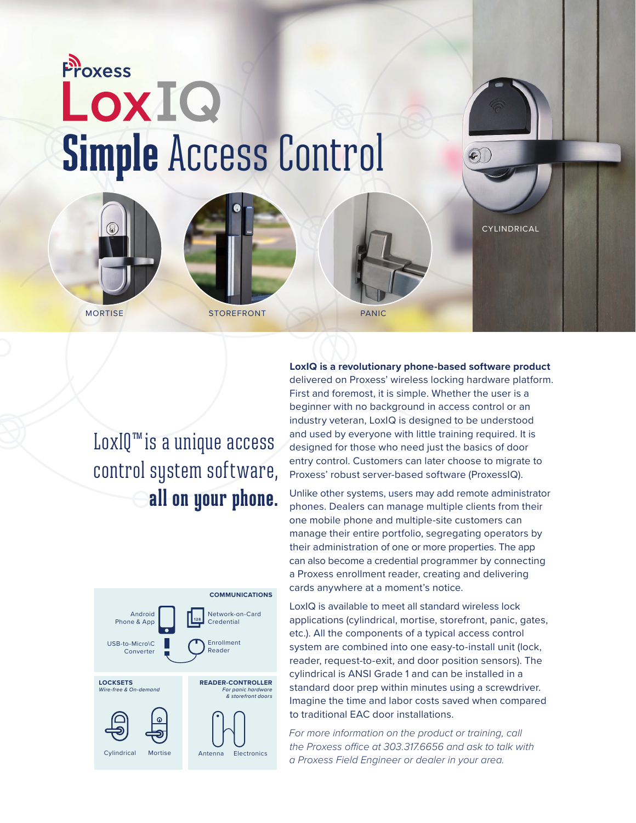# **Proxess** LoxIQ **Simple** Access Control

MORTISE STOREFRONT PANIC



CYLINDRICAL

LoxIQ™ is a unique access control system software, **all on your phone.** 



**LoxIQ is a revolutionary phone-based software product**  delivered on Proxess' wireless locking hardware platform. First and foremost, it is simple. Whether the user is a beginner with no background in access control or an industry veteran, LoxIQ is designed to be understood and used by everyone with little training required. It is designed for those who need just the basics of door entry control. Customers can later choose to migrate to Proxess' robust server-based software (ProxessIQ).

Unlike other systems, users may add remote administrator phones. Dealers can manage multiple clients from their one mobile phone and multiple-site customers can manage their entire portfolio, segregating operators by their administration of one or more properties. The app can also become a credential programmer by connecting a Proxess enrollment reader, creating and delivering cards anywhere at a moment's notice.

LoxIQ is available to meet all standard wireless lock applications (cylindrical, mortise, storefront, panic, gates, etc.). All the components of a typical access control system are combined into one easy-to-install unit (lock, reader, request-to-exit, and door position sensors). The cylindrical is ANSI Grade 1 and can be installed in a standard door prep within minutes using a screwdriver. Imagine the time and labor costs saved when compared to traditional EAC door installations.

*For more information on the product or training, call the Proxess office at 303.317.6656 and ask to talk with a Proxess Field Engineer or dealer in your area.*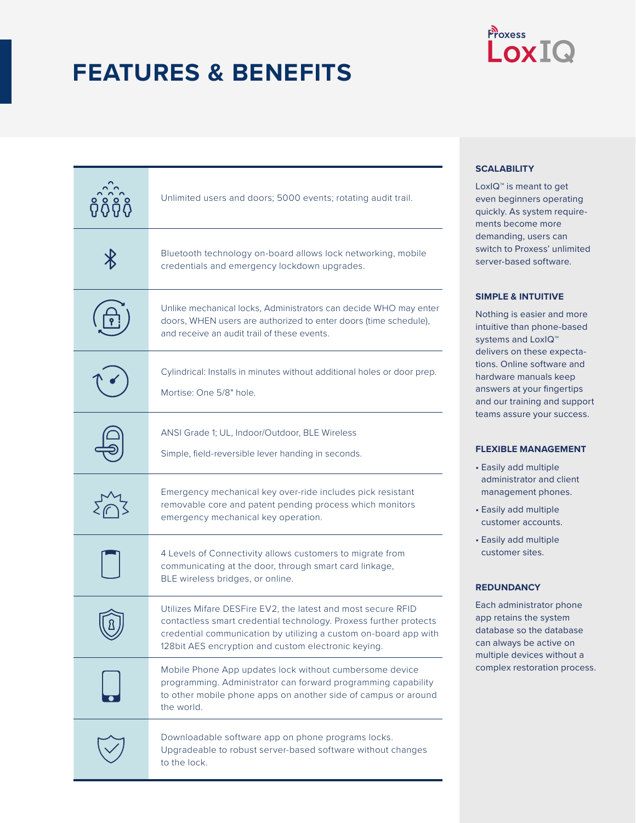### **FEATURES & BENEFITS**

### Proxess LoxIQ

| Unlimited users and doors; 5000 events; rotating audit trail.                                                                                                                                                                                                |
|--------------------------------------------------------------------------------------------------------------------------------------------------------------------------------------------------------------------------------------------------------------|
| Bluetooth technology on-board allows lock networking, mobile<br>credentials and emergency lockdown upgrades.                                                                                                                                                 |
| Unlike mechanical locks, Administrators can decide WHO may enter<br>doors, WHEN users are authorized to enter doors (time schedule),<br>and receive an audit trail of these events.                                                                          |
| Cylindrical: Installs in minutes without additional holes or door prep.<br>Mortise: One 5/8" hole.                                                                                                                                                           |
| ANSI Grade 1; UL, Indoor/Outdoor, BLE Wireless<br>Simple, field-reversible lever handing in seconds.                                                                                                                                                         |
| Emergency mechanical key over-ride includes pick resistant<br>removable core and patent pending process which monitors<br>emergency mechanical key operation.                                                                                                |
| 4 Levels of Connectivity allows customers to migrate from<br>communicating at the door, through smart card linkage,<br>BLE wireless bridges, or online.                                                                                                      |
| Utilizes Mifare DESFire EV2, the latest and most secure RFID<br>contactless smart credential technology. Proxess further protects<br>credential communication by utilizing a custom on-board app with<br>128bit AES encryption and custom electronic keying. |
| Mobile Phone App updates lock without cumbersome device<br>programming. Administrator can forward programming capability<br>to other mobile phone apps on another side of campus or around<br>the world.                                                     |
| Downloadable software app on phone programs locks.<br>Upgradeable to robust server-based software without changes<br>to the lock.                                                                                                                            |

#### **SCALABILITY**

LoxIQ™ is meant to get even beginners operating quickly. As system requirements become more demanding, users can switch to Proxess' unlimited server-based software.

#### **SIMPLE & INTUITIVE**

Nothing is easier and more intuitive than phone-based systems and LoxIQ<sup>™</sup> delivers on these expectations. Online software and hardware manuals keep answers at your fingertips and our training and support teams assure your success.

#### **FLEXIBLE MANAGEMENT**

- Easily add multiple administrator and client management phones.
- Easily add multiple customer accounts.
- Easily add multiple customer sites.

#### **REDUNDANCY**

Each administrator phone app retains the system database so the database can always be active on multiple devices without a complex restoration process.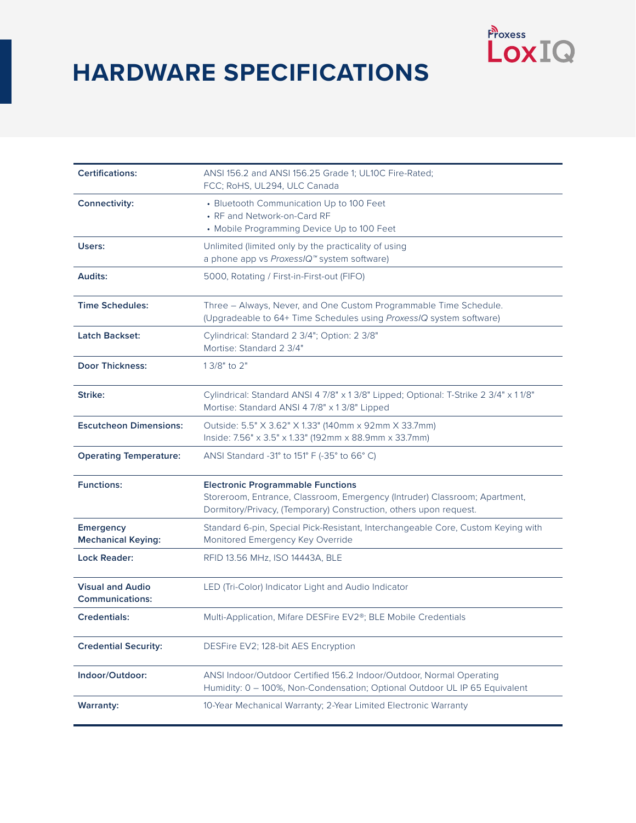## **HARDWARE SPECIFICATIONS**